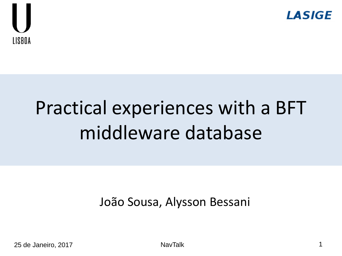



# Practical experiences with a BFT middleware database

João Sousa, Alysson Bessani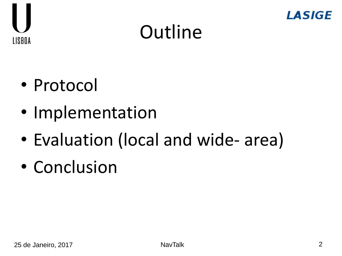

### **Outline**



- Implementation
- Evaluation (local and wide- area)
- Conclusion

*LASIGE*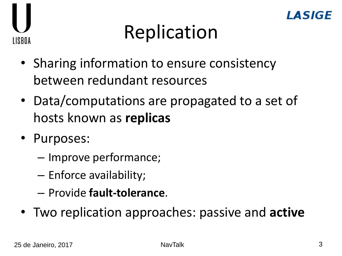

# LISBOA

# Replication

- Sharing information to ensure consistency between redundant resources
- Data/computations are propagated to a set of hosts known as **replicas**
- Purposes:
	- Improve performance;
	- Enforce availability;
	- Provide **fault-tolerance**.
- Two replication approaches: passive and **active**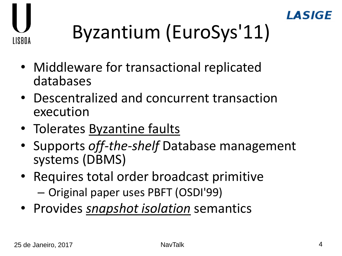

# Byzantium (EuroSys'11)

- Middleware for transactional replicated databases
- Descentralized and concurrent transaction execution
- Tolerates Byzantine faults
- Supports *off-the-shelf* Database management systems (DBMS)
- Requires total order broadcast primitive – Original paper uses PBFT (OSDI'99)
- Provides *snapshot isolation* semantics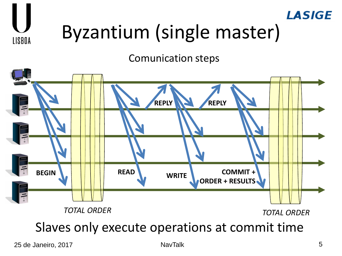#### **LASIGE** Byzantium (single master) **LISBOA**

Comunication steps



Slaves only execute operations at commit time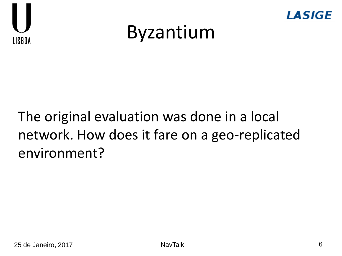



### Byzantium

### The original evaluation was done in a local network. How does it fare on a geo-replicated environment?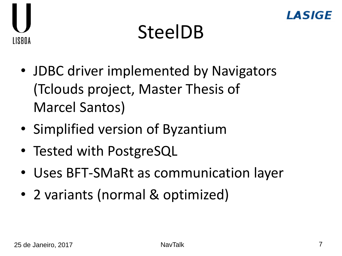

# **SteelDB**

- JDBC driver implemented by Navigators (Tclouds project, Master Thesis of Marcel Santos)
- Simplified version of Byzantium
- Tested with PostgreSQL
- Uses BFT-SMaRt as communication layer
- 2 variants (normal & optimized)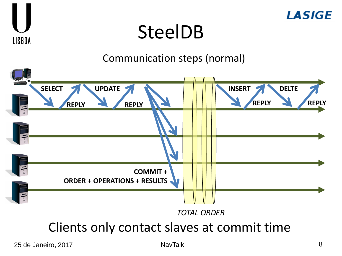



#### Communication steps (normal)



#### Clients only contact slaves at commit time

25 de Janeiro, 2017 NavTalk 8

**LASIGE**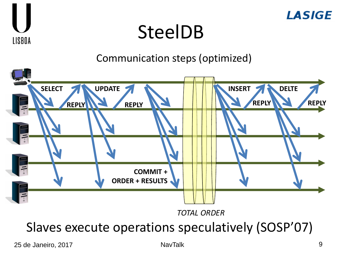



#### Communication steps (optimized)



#### Slaves execute operations speculatively (SOSP'07)

**LASIGE**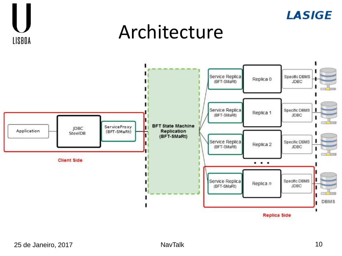

### Architecture

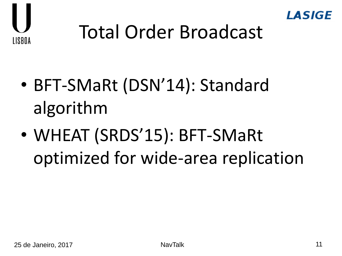

# Total Order Broadcast

- BFT-SMaRt (DSN'14): Standard algorithm
- WHEAT (SRDS'15): BFT-SMaRt optimized for wide-area replication

**TISRNA**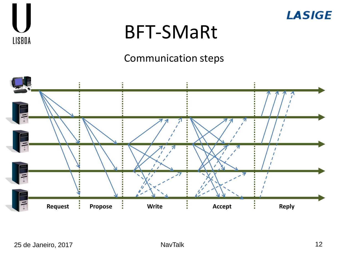



### BFT-SMaRt

#### Communication steps

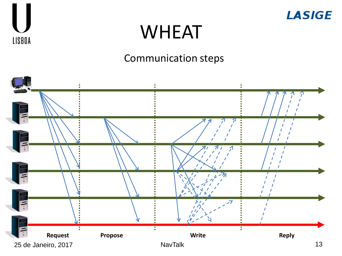



**LASIGE** 

#### Communication steps

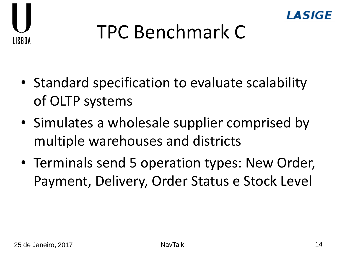

# TPC Benchmark C

- Standard specification to evaluate scalability of OLTP systems
- Simulates a wholesale supplier comprised by multiple warehouses and districts
- Terminals send 5 operation types: New Order, Payment, Delivery, Order Status e Stock Level

LISROA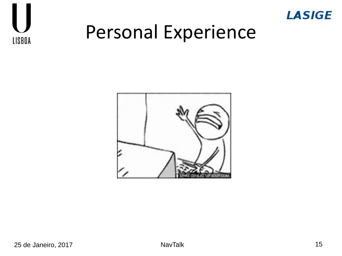



### Personal Experience

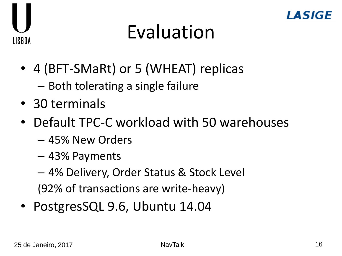

# Evaluation

- 4 (BFT-SMaRt) or 5 (WHEAT) replicas
	- Both tolerating a single failure
- 30 terminals

- Default TPC-C workload with 50 warehouses
	- 45% New Orders
	- 43% Payments
	- 4% Delivery, Order Status & Stock Level (92% of transactions are write-heavy)
- PostgresSQL 9.6, Ubuntu 14.04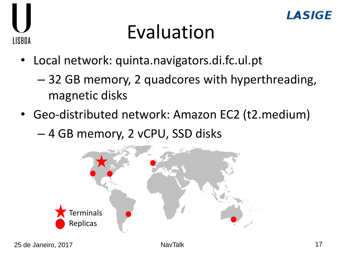

# Evaluation

- Local network: quinta.navigators.di.fc.ul.pt
	- 32 GB memory, 2 quadcores with hyperthreading, magnetic disks
- Geo-distributed network: Amazon EC2 (t2.medium)
	- 4 GB memory, 2 vCPU, SSD disks

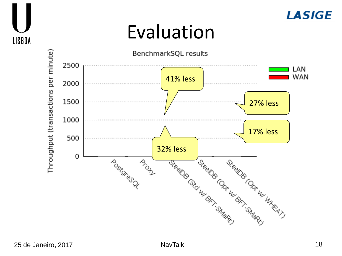

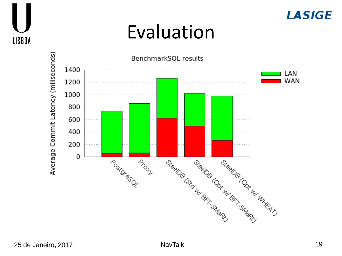

### Evaluation

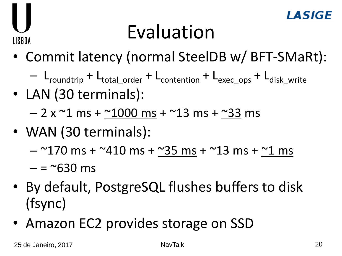# Evaluation

- Commit latency (normal SteelDB w/ BFT-SMaRt):
	- $-$  L<sub>roundtrip</sub> + L<sub>total</sub> order + L<sub>contention</sub> + L<sub>exec\_ops</sub> + L<sub>disk\_write</sub>
- LAN (30 terminals):  $- 2 x$  ~1 ms + ~1000 ms + ~13 ms +  $-33$  ms
- WAN (30 terminals):
	- $-$  ~170 ms + ~410 ms + ~35 ms + ~13 ms +  $\frac{m}{1}$  ms

 $- =$  ~630 ms

- By default, PostgreSQL flushes buffers to disk (fsync)
- Amazon EC2 provides storage on SSD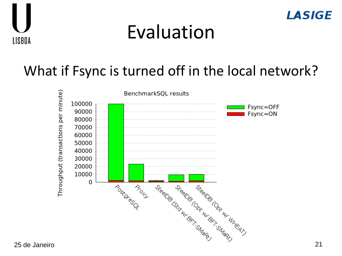



### What if Fsync is turned off in the local network?



**LASIGE**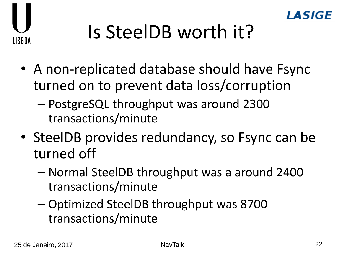

# Is SteelDB worth it?

- A non-replicated database should have Fsync turned on to prevent data loss/corruption
	- PostgreSQL throughput was around 2300 transactions/minute
- SteelDB provides redundancy, so Fsync can be turned off
	- Normal SteelDB throughput was a around 2400 transactions/minute
	- Optimized SteelDB throughput was 8700 transactions/minute

LISROA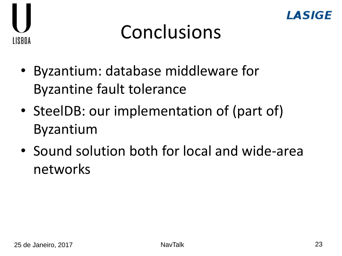

# Conclusions

- Byzantium: database middleware for Byzantine fault tolerance
- SteelDB: our implementation of (part of) Byzantium
- Sound solution both for local and wide-area networks